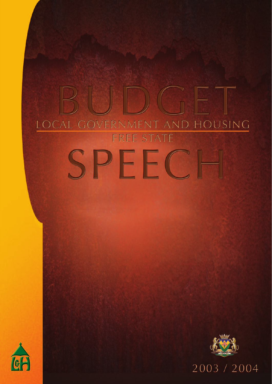# LOCAL GOVERNMENT AND HOUSING FREE STATE PFFC





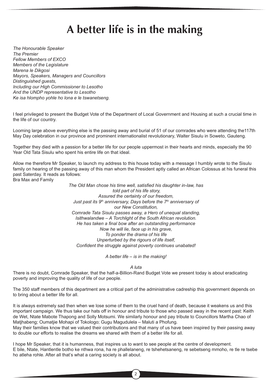# A better life is in the making

*The Honourable Speaker The Premier Fellow Members of EXCO Members of the Legislature Marena le Dikgosi Mayors, Speakers, Managers and Councillors Distinguished guests, Including our High Commissioner to Lesotho And the UNDP representative to Lesotho Ke isa hlompho yohle ho lona e le tswanetseng.*

I feel privileged to present the Budget Vote of the Department of Local Government and Housing at such a crucial time in the life of our country.

Looming large above everything else is the passing away and burial of 51 of our comrades who were attending the117th May Day celebration in our province and prominent internationalist revolutionary, Walter Sisulu in Soweto, Gauteng.

Together they died with a passion for a better life for our people uppermost in their hearts and minds, especially the 90 Year Old Tata Sisulu who spent his entire life on that ideal.

Allow me therefore Mr Speaker, to launch my address to this house today with a message I humbly wrote to the Sisulu family on hearing of the passing away of this man whom the President aptly called an African Colossus at his funeral this past Saterday. It reads as follows:

Bra Max and Family

*The Old Man chose his time well, satisfied his daughter in-law, has told part of his life story, Assured the certainty of our freedom,* Just past its 9<sup>th</sup> anniversary, Days before the 7<sup>th</sup> anniversary of *our New Constitution, Comrade Tata Sisulu passes away, a Hero of unequal standing, Isithwalandwe – A Torchlight of the South African revolution. He has taken a final bow after an outstanding performance Now he will lie, face up in his grave, To ponder the drama of his life Unperturbed by the rigours of life itself, Confident the struggle against poverty continues unabated!*

*A better life – is in the making!*

*A luta*

There is no doubt, Comrade Speaker, that the half-a-Billion-Rand Budget Vote we present today is about eradicating poverty and improving the quality of life of our people.

The 350 staff members of this department are a critical part of the administrative cadreship this government depends on to bring about a better life for all.

It is always extremely sad then when we lose some of them to the cruel hand of death, because it weakens us and this important campaign. We thus take our hats off in honour and tribute to those who passed away in the recent past: Keith de Wet, Ntate Mabote Thapong and Solly Motsumi. We similarly honour and pay tribute to Councillors Martha Chao of Matjhabeng; Oumatjie Mohapi of Tokologo; Gugu Magudulela – Maluti a Phofung.

May their families know that we valued their contributions and that many of us have been inspired by their passing away to double our efforts to realise the dreams we shared with them of a better life for all.

I hope Mr Speaker, that it is humanness, that inspires us to want to see people at the centre of development. E bile, Ntate, Hantlentle botho ke nthwa rona, ha re phallelaneng, re tshehetsaneng, re sebetseng mmoho, re tle re tsebe ho atleha rohle. After all that's what a caring society is all about.

2 3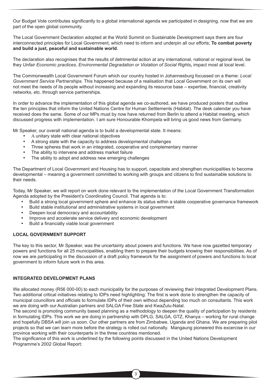Our Budget Vote contributes significantly to a global international agenda we participated in designing, now that we are part of the open global community.

The Local Government Declaration adopted at the World Summit on Sustainable Development says there are four interconnected principles for Local Government, which need to inform and underpin all our efforts; **To combat poverty and build a just, peaceful and sustainable world.**

The declaration also recognises that the results of detrimental action at any international, national or regional level, be they *Unfair Economic practices, Environmental Degradation or Violation of Social Rights***,** impact most at local level.

The Commonwealth Local Government Forum which our country hosted in Johannesburg focussed on a theme: *Local Government Service Partnerships.* This happened because of a realisation that Local Government on its own will not meet the needs of its people without increasing and expanding its resource base – expertise, financial, creativity networks, etc. through service partnerships.

In order to advance the implementation of this global agenda we co-authored, we have produced posters that outline the ten principles that inform the United Nations Centre for Human Settlements (Habitat). The desk calendar you have received does the same. Some of our MPs must by now have returned from Berlin to attend a Habitat meeting, which discussed progress with implementation. I am sure Honourable Khompela will bring us good news from Germany.

Mr Speaker, our overall national agenda is to build a developmental state. It means:

- A unitary state with clear national objectives
- A strong state with the capacity to address developmental challenges
- Three spheres that work in an integrated, cooperative and complementary manner
- The ability to intervene and address market failure
- The ability to adopt and address new emerging challenges

The Department of Local Government and Housing has to support, capacitate and strengthen municipalities to become developmental – meaning a government committed to working with groups and citizens to find sustainable solutions to their needs.

Today, Mr Speaker, we will report on work done relevant to the implementation of the Local Government Transformation Agenda adopted by the President's Coordinating Council. That agenda is to:

- Build a strong local government sphere and enhance its status within a stable cooperative governance framework
- Build stable institutional and administrative systems in local government
- Deepen local democracy and accountability
- Improve and accelerate service delivery and economic development
- Build a financially viable local government

# **LOCAL GOVERNMENT SUPPORT**

The key to this sector, Mr Speaker, was the uncertainty about powers and functions. We have now gazetted temporary powers and functions for all 25 municipalities, enabling them to prepare their budgets knowing their responsibilities. As of now we are participating in the discussion of a draft policy framework for the assignment of powers and functions to local government to inform future work in this area.

# **INTEGRATED DEVELOPMENT PLANS**

We allocated money (R56 000-00) to each municipality for the purposes of reviewing their Integrated Development Plans. Two additional critical initiatives relating to IDPs need highlighting: The first is work done to strengthen the capacity of municipal councillors and officials to formulate IDPs of their own without depending too much on consultants. This work we are doing with our Australian partners and SALGA Free State and KwaZulu-Natal.

The second is promoting community based planning as a methodology to deepen the quality of participation by residents in formulating IDPs. This work we are doing in partnership with DPLG, SALGA, GTZ, Khanya – working for rural change and hopefully DBSA will join us soon. Our other partners are from Zimbabwe, Uganda and Ghana. We are preparing pilot projects so that we can learn more before the strategy is rolled out nationally. Mangaung pioneered this excercise in our province working with their counterparts in the three countries mentioned.

The significance of this work is underlined by the following points discussed in the United Nations Development Programme's 2002 Global Report: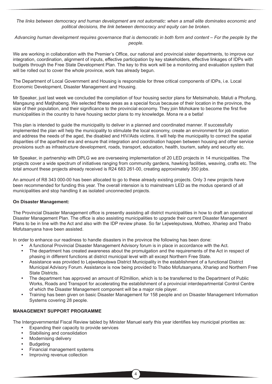*The links between democracy and human development are not automatic: when a small elite dominates economic and political decisions, the link between democracy and equity can be broken*.

*Advancing human development requires governance that is democratic in both form and content – For the people by the people.*

We are working in collaboration with the Premier's Office, our national and provincial sister departments, to improve our integration, coordination, alignment of inputs, effective participation by key stakeholders, effective linkages of IDPs with budgets through the Free State Development Plan. The key to this work will be a monitoring and evaluation system that will be rolled out to cover the whole province, work has already begun.

The Department of Local Government and Housing is responsible for three critical components of IDPs, i.e. Local Economic Development, Disaster Management and Housing.

Mr Speaker, just last week we concluded the compilation of four housing sector plans for Metsimaholo, Maluti a Phofung, Mangaung and Matjhabeng. We selected fthese areas as a special focus because of their location in the province, the size of their population, and their significance to the provincial economy. They join Mohokare to become the first five municipalities in the country to have housing sector plans to my knowledge. Mona re a e betla!

This plan is intended to guide the municipality to deliver in a planned and coordinated manner. If successfully implemented the plan will help the municipality to stimulate the local economy, create an environment for job creation and address the needs of the aged, the disabled and HIV/Aids victims. It will help the municipality to correct the spatial disparities of the apartheid era and ensure that integration and coordination happen between housing and other service provisions such as infrastructure development, roads, transport, education, health, tourism, safety and security etc.

Mr Speaker, in partnership with DPLG we are overseeing implementation of 20 LED projects in 14 municipalities. The projects cover a wide spectrum of initiatives ranging from community gardens, hawking facilities, weaving, crafts etc. The total amount these projects already received is R24 683 261-00, creating approximately 350 jobs.

An amount of R8 343 000-00 has been allocated to go to these already existing projects. Only 3 new projects have been recommended for funding this year. The overall intension is to mainstream LED as the modus operandi of all municipalities and stop handling it as isolated unconnected projects.

# **On Disaster Management:**

The Provincial Disaster Management office is presently assisting all district municipalities in how to draft an operational Disaster Management Plan. The office is also assisting municipalities to upgrade their current Disaster Management Plans to be in line with the Act and also with the IDP review phase. So far Lejweleputswa, Motheo, Xhariep and Thabo Mofutsanyana have been assisted.

In order to enhance our readiness to handle disasters in the province the following has been done:

- A functional Provincial Disaster Management Advisory forum is in place in accordance with the Act.
- The department has created awareness about the promulgation and the requirements of the Act in respect of phasing in different functions at district municipal level with all except Northern Free State.
- Assistance was provided to Lejweleputswa District Municipality in the establishment of a functional District Municipal Advisory Forum. Assistance is now being provided to Thabo Mofutsanyana, Xhariep and Northern Free State Districts.
- The department has approved an amount of R2million, which is to be transferred to the Department of Public Works, Roads and Transport for accelerating the establishment of a provincial interdepartmental Control Centre of which the Disaster Management component will be a major role player.
- Training has been given on basic Disaster Management for 158 people and on Disaster Management Information Systems covering 28 people.

# **MANAGEMENT SUPPORT PROGRAMME**

The Intergovernmental Fiscal Review tabled by Minister Manuel early this year identifies key municipal priorities as:

- Expanding their capacity to provide services
- Stabilising and consolidation
- Modernising delivery
- **Budgeting**
- Financial management systems
- Improving revenue collection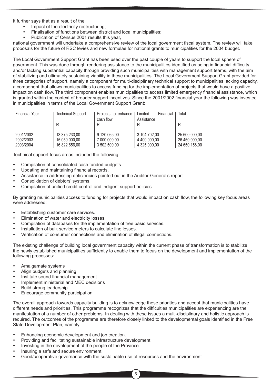It further says that as a result of the

- Impact of the electricity restructuring;
- Finalisation of functions between district and local municipalities;
- Publication of Census 2001 results this year,

national government will undertake a comprehensive review of the local government fiscal system. The review will take proposals for the future of RSC levies and new formulae for national grants to municipalities for the 2004 budget.

The Local Government Support Grant has been used over the past couple of years to support the local sphere of government. This was done through rendering assistance to the municipalities identified as being in financial difficulty and/or lacking substantial capacity through providing such municipalities with management support teams, with the aim of stabilizing and ultimately sustaining viability in these municipalities. The Local Government Support Grant provided for three categories of support, namely a component for multi-disciplinary technical support to municipalities lacking capacity, a component that allows municipalities to access funding for the implementation of projects that would have a positive impact on cash flow. The third component enables municipalities to access limited emergency financial assistance, which is granted within the context of broader support incentives. Since the 2001/2002 financial year the following was invested in municipalities in terms of the Local Government Support Grant:

| <b>Financial Year</b> | <b>Technical Support</b> | Projects to enhance<br>cash flow | Limited<br>Financial<br>Assistance | Total         |
|-----------------------|--------------------------|----------------------------------|------------------------------------|---------------|
|                       | R                        | R                                |                                    | R             |
| 2001/2002             | 13 375 233,00            | 9 120 065,00                     | 3 104 702,00                       | 25 600 000,00 |
| 2002/2003             | 15 050 000,00            | 7 000 000,00                     | 4 400 000,00                       | 26 450 000,00 |
| 2003/2004             | 16 822 656,00            | 3 502 500,00                     | 4 325 000,00                       | 24 650 156,00 |

Technical support focus areas included the following:

- Compilation of consolidated cash funded budgets.
- Updating and maintaining financial records.
- Assistance in addressing deficiencies pointed out in the Auditor-General's report.
- Consolidation of debtors' systems.
- Compilation of unified credit control and indigent support policies.

By granting municipalities access to funding for projects that would impact on cash flow, the following key focus areas were addressed:

- Establishing customer care services.
- Elimination of water and electricity losses.
- Compilation of databases for the implementation of free basic services.
- Installation of bulk service meters to calculate line losses.
- Verification of consumer connections and elimination of illegal connections.

The existing challenge of building local government capacity within the current phase of transformation is to stabilize the newly established municipalities sufficiently to enable them to focus on the development and implementation of the following processes:

- Amalgamate systems
- Align budgets and planning
- Institute sound financial management
- Implement ministerial and MEC decisions
- Build strong leadership

 $\sim$  5  $\sim$  5  $\sim$  5  $\sim$  5  $\sim$  5  $\sim$  5  $\sim$  5  $\sim$  5  $\sim$  5  $\sim$  5  $\sim$  5  $\sim$ 

• Encourage community participation

The overall approach towards capacity building is to acknowledge these priorities and accept that municipalities have different needs and priorities. This programme recognizes that the difficulties municipalities are experiencing are the manifestation of a number of other problems. In dealing with these issues a multi-disciplinary and holistic approach is required. The outcomes of the programme are therefore closely linked to the developmental goals identified in the Free State Development Plan, namely:

- Enhancing economic development and job creation.
- Providing and facilitating sustainable infrastructure development.
- Investing in the development of the people of the Province.
- Insuring a safe and secure environment.
- Good/cooperative governance with the sustainable use of resources and the environment.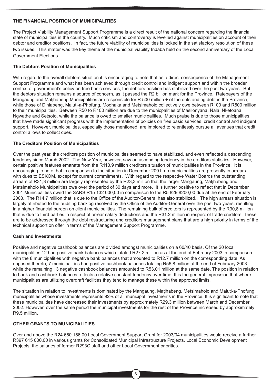# **THE FINANCIAL POSITION OF MUNICIPALITIES**

The Project Viability Management Support Programme is a direct result of the national concern regarding the financial state of municipalities in the country. Much criticism and controversy is levelled against municipalities on account of their debtor and creditor positions. In fact, the future viability of municipalities is locked in the satisfactory resolution of these two issues. This matter was the key theme at the municipal viability Indaba held on the second anniversary of the Local Government Elections.

# **The Debtors Position of Municipalities**

With regard to the overall debtors situation it is encouraging to note that as a direct consequence of the Management Support Programme and what has been achieved through credit control and indigent support and within the broader context of government's policy on free basic services, the debtors position has stabilized over the past two years. But the debtors situation remains a source of concern, as it passed the R2 billion mark for the Province. Ratepayers of the Mangaung and Matjhabeng Municipalities are responsible for R 500 million + of the outstanding debt in the Province, while those of Dihlabeng, Maluti-a-Phofung, Moqhaka and Metsimaholo collectively owe between R100 and R500 million to their municipalities. Between R50 to R100 million are due to the municpalities of Masilonyana, Nala, Nketoana, Ngwathe and Setsoto, while the balance is owed to smaller municipalities. Much praise is due to those municipalities, that have made significant progress with the implementation of policies on free basic services, credit control and indigent support. However, municipalities, especially those mentioned, are implored to relentlessly pursue all avenues that credit control allows to collect dues.

# **The Creditors Position of Municipalities**

Over the past year, the creditors position of municipalities seemed to have stabilized, and even reflected a descending tendency since March 2002. The New Year, however, saw an ascending tendency in the creditors statistics. However, certain positive features emanate from the R113,9 million creditors situation of municipalities in the Province. It is encouraging to note that in comparison to the situation in December 2001, no municipalities are presently in arrears with dues to ESKOM, except for current commitments. With regard to the respective Water Boards the outstanding arrears of R31,3 million are largely represented by the R23,3 million that the larger Mangaung, Matjhabeng and Metsimaholo Municipalities owe over the period of 30 days and more. It is further positive to reflect that in December 2001 Municipalities owed the SARS R15 132 000,00 in comparison to the R5 829 8200,00 due at the end of February 2003. The R14,7 million that is due to the Office of the Auditor-General has also stabilized.. The high arrears situation is largely attributed to the auditing backlog resolved by the Office of the Auditor-General over the past two years, resulting in a higher financial burden on client municipalities. The remaining bulk of creditors is represented by the R30,8 million that is due to third parties in respect of arrear salary deductions and the R31.2 million in respect of trade creditors. These are to be addressed through the debt restructuring and creditors management plans that are a high priority in terms of the technical support on offer in terms of the Management Support Programme.

# **Cash and Investments**

Positive and negative cashbook balances are divided amongst municipalities on a 60/40 basis. Of the 20 local municipalities 12 had positive bank balances which totaled R27.2 million as at the end of February 2003 in comparison with the 8 municipalities with negative bank balances that amounted to R12.7 million on the corresponding date. As opposed thereto, 7 municipalities had positive cashbook balances totaling R56.8 million at the end of February 2003 while the remaining 13 negative cashbook balances amounted to R53.01 million at the same date. The position in relation to bank and cashbook balances reflects a relative constant tendency over time. It is the general impression that where municipalities are utilizing overdraft facilities they tend to manage these within the approved limits.

The situation in relation to investments is dominated by the Mangaung, Matjhabeng, Metsimaholo and Maluti-a-Phofung municipalities whose investments represents 92% of all municipal investments in the Province. It is significant to note that these municipalities have decreased their investments by approximately R29.3 million between March and December 2002. However, over the same period the municipal investments for the rest of the Province increased by approximately R9.5 million.

# **OTHER GRANTS TO MUNICIPALITIES**

Over and above the R24 650 156,00 Local Government Support Grant for 2003/04 municipalities would receive a further R397 615 000,00 in various grants for Consolidated Municipal Infrastructure Projects, Local Economic Development Projects, the salaries of former R293C staff and other Local Government priorities.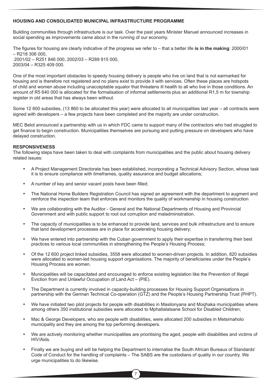#### **HOUSING AND CONSOLIDATED MUNICIPAL INFRASTRUCTURE PROGRAMME**

Building communities through infrastructure is our task. Over the past years Minister Manuel announced increases in social spending as improvements came about in the running of our economy.

The figures for housing are clearly indicative of the progress we refer to – that a better life **is in the making**: 2000/01  $-$  R218 306 000. 2001/02 – R251 846 000, 2002/03 – R289 915 000, 2003/04 – R325 409 000.

One of the most important obstacles to speedy housing delivery is people who live on land that is not earmarked for housing and is therefore not registered and no plans exist to provide it with services. Often these places are hotspots of child and women abuse including unacceptable squalor that threatens ill health to all who live in those conditions. An amount of R5 640 000 is allocated for the formalisation of informal settlements plus an additional R1,5 m for township register in old areas that has always been without.

Some 12 600 subsidies, (13 860 to be allocated this year) were allocated to all municipalities last year – all contracts were signed with developers – a few projects have been completed and the majority are under construction.

MEC Belot announced a partnership with us in which FDC came to support many of the contractors who had struggled to get finance to begin construction. Municipalities themselves are pursuing and putting pressure on developers who have delayed construction.

#### **RESPONSIVENESS**

<u>for the contract of the contract of the contract of the contract of the contract of the contract of the contract of the contract of the contract of the contract of the contract of the contract of the contract of the contr</u>

The following steps have been taken to deal with complaints from municipalities and the public about housing delivery related issues:

- A Project Management Directorate has been established, incorporating a Technical Advisory Section, whose task it is to ensure compliance with timeframes, quality assurance and budget allocations;
- A number of key and senior vacant posts have been filled;
- The National Home Builders Registration Council has signed an agreement with the department to augment and reinforce the inspection team that enforces and monitors the quality of workmanship in housing construction
- We are collaborating with the Auditor General and the National Departments of Housing and Provincial Government and with public support to root out corruption and maladministration.
- The capacity of municipalities is to be enhanced to provide land, services and bulk infrastructure and to ensure that land development processes are in place for accelerating housing delivery;
- We have entered into partnership with the Cuban government to apply their expertise in transferring their best practices to various local communities in strengthening the People's Housing Process;
- Of the 12 600 project linked subsidies, 3558 were allocated to women-driven projects. In addition, 820 subsidies were allocated to women-led housing support organisations. The majority of beneficiaries under the People's Housing Process are women.
- Municipalities will be capacitated and encouraged to enforce existing legislation like the Prevention of Illegal Eviction from and Unlawful Occupation of Land Act – (PIE).
- The Department is currently involved in capacity-building processes for Housing Support Organisations in partnership with the German Technical Co-operation (GTZ) and the People's Housing Partnership Trust (PHPT).
- We have initiated two pilot projects for people with disabilities in Masilonyana and Moqhaka municipalities where among others 350 institutional subsidies were allocated to Mphatlalatsane School for Disabled Children;
- Mac & George Developers, who are people with disabilities, were allocated 200 subsidies in Metsimaholo municipality and they are among the top performing developers.
- We are actively monitoring whether municipalities are prioritising the aged, people with disabilities and victims of HIV/Aids.
- Finally we are buying and will be helping the Department to internalise the South African Bureaux of Standards' Code of Conduct for the handling of complaints – The SABS are the custodians of quality in our country. We urge municipalities to do likewise.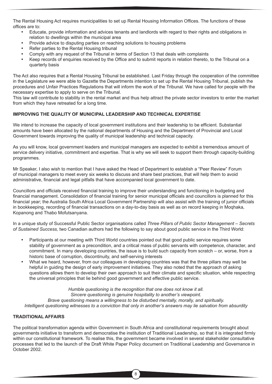The Rental Housing Act requires municipalities to set up Rental Housing Information Offices. The functions of these offices are to:

- Educate, provide information and advices tenants and landlords with regard to their rights and obligations in relation to dwellings within the municipal area
- Provide advice to disputing parties on reaching solutions to housing problems
- Refer parties to the Rental Housing tribunal
- Comply with any request of the Tribunal in terms of Section 13 that deals with complaints
- Keep records of enquiries received by the Office and to submit reports in relation thereto, to the Tribunal on a quarterly basis

The Act also requires that a Rental Housing Tribunal be established. Last Friday through the cooperation of the committee in the Legislature we were able to Gazette the Departments intention to set up the Rental Housing Tribunal, publish the procedures and Unfair Practices Regulations that will inform the work of the Tribunal. We have called for people with the necessary expertise to apply to serve on the Tribunal.

This law will contribute to stability in the rental market and thus help attract the private sector investors to enter the market from which they have retreated for a long time.

# **IMPROVING THE QUALITY OF MUNICIPAL LEADERSHIP AND TECHNICAL EXPERTISE**

We intend to increase the capacity of local government institutions and their leadership to be efficient. Substantial amounts have been allocated by the national departments of Housing and the Department of Provincial and Local Government towards improving the quality of municipal leadership and technical capacity.

As you will know, local government leaders and municipal managers are expected to exhibit a tremendous amount of service delivery initiative, commitment and expertise. That is why we will seek to support them through capacity-building programmes.

Mr Speaker, I also wish to mention that I have asked the Head of Department to establish a "Peer Review" Forum of municipal managers to meet every six weeks to discuss and share best practices, that will help them to avoid administrative, financial and legal pitfalls that have accompanied local government to date.

Councillors and officials received financial training to improve their understanding and functioning in budgeting and financial management. Consolidation of financial training for senior municipal officials and councillors is planned for this financial year; the Australia South Africa Local Government Partnership will also assist with the training of junior officials in bookkeeping, recording of financial transactions on a day-to-day basis as well as on record keeping in Moqhaka, Kopanong and Thabo Mofutsanyana.

In a unique study of Successful Public Sector organisations called *Three Pillars of Public Sector Management – Secrets of Sustained Success,* two Canadian authors had the following to say about good public service in the Third World:

- Participants at our meeting with Third World countries pointed out that good public service requires some stability of government as a precondition, and a critical mass of public servants with competence, character, and commitment. In many developing countries, the issue is to build such capacity from scratch – or, worse, from a historic base of corruption, discontinuity, and self-serving interests
- What we heard, however, from our colleagues in developing countries was that the three pillars may well be helpful in guiding the design of early improvement initiatives. They also noted that the approach of asking questions allows them to develop their own approach to suit their climate and specific situation, while respecting the universal principles that lie behind good government and effective public service.

*Humble questioning is the recognition that one does not know it all. Sincere questioning is genuine hospitality to another's viewpoint. Brave questioning means a willingness to be disturbed mentally, morally, and spiritually. Intelligent questioning witnesses to a conviction that only in another's answers may lie salvation from absurdity*

# **TRADITIONAL AFFAIRS**

The political transformation agenda within Government in South Africa and constitutional requirements brought about governments initiative to transform and democratise the institution of Traditional Leadership, so that it is integrated firmly within our constitutional framework. To realise this, the government became involved in several stakeholder consultative processes that led to the launch of the Draft White Paper Policy document on Traditional Leadership and Governance in October 2002.